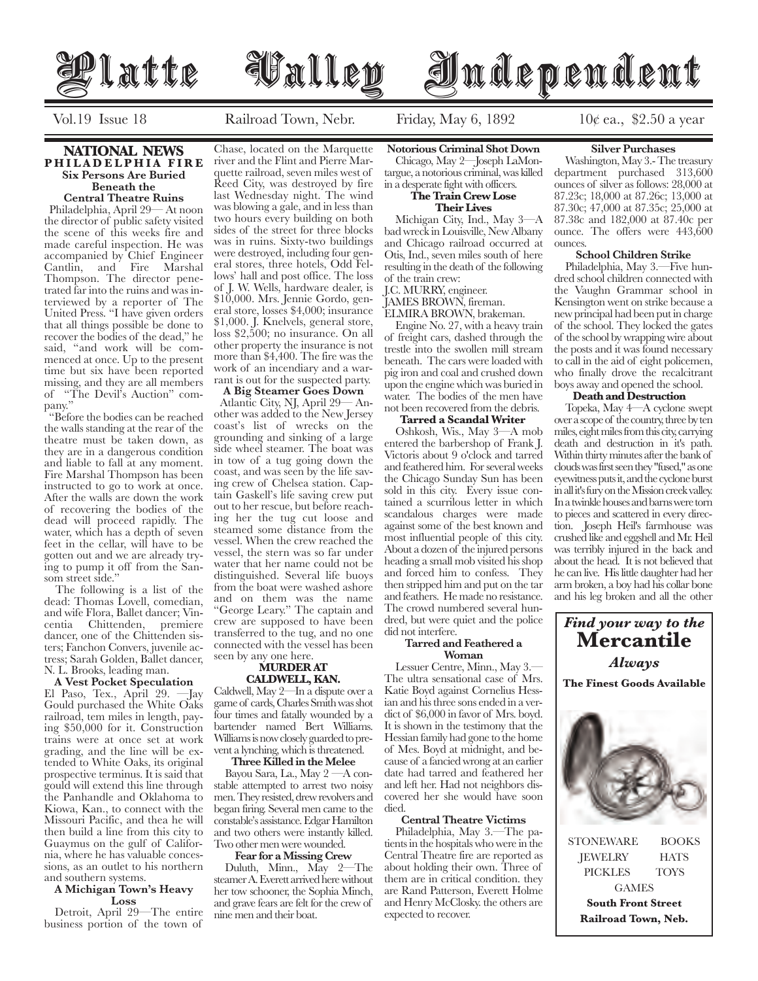

Platte Valley Independent

Vol.19 Issue 18 Railroad Town, Nebr. Friday, May 6, 1892  $10\ell$  ea., \$2.50 a year

**NATIONAL NEWS PHILADELPHIA FIRE Six Persons Are Buried Beneath the Central Theatre Ruins** 

 Philadelphia, April 29— At noon the director of public safety visited the scene of this weeks fire and made careful inspection. He was accompanied by Chief Engineer Cantlin, and Fire Marshal Thompson. The director penetrated far into the ruins and was interviewed by a reporter of The United Press. "I have given orders that all things possible be done to recover the bodies of the dead," he said, "and work will be commenced at once. Up to the present time but six have been reported missing, and they are all members of "The Devil's Auction" company."

 "Before the bodies can be reached the walls standing at the rear of the theatre must be taken down, as they are in a dangerous condition and liable to fall at any moment. Fire Marshal Thompson has been instructed to go to work at once. After the walls are down the work of recovering the bodies of the dead will proceed rapidly. The water, which has a depth of seven feet in the cellar, will have to be gotten out and we are already trying to pump it off from the Sansom street side."

 The following is a list of the dead: Thomas Lovell, comedian, and wife Flora, Ballet dancer; Vincentia Chittenden, premiere dancer, one of the Chittenden sisters; Fanchon Convers, juvenile actress; Sarah Golden, Ballet dancer, N. L. Brooks, leading man.

**A Vest Pocket Speculation**

El Paso, Tex., April 29. —Jay Gould purchased the White Oaks railroad, tem miles in length, paying \$50,000 for it. Construction trains were at once set at work grading, and the line will be extended to White Oaks, its original prospective terminus. It is said that gould will extend this line through the Panhandle and Oklahoma to Kiowa, Kan., to connect with the Missouri Pacific, and thea he will then build a line from this city to Guaymus on the gulf of California, where he has valuable concessions, as an outlet to his northern and southern systems.

### **A Michigan Town's Heavy**

### **Loss**

 Detroit, April 29—The entire business portion of the town of

Chase, located on the Marquette river and the Flint and Pierre Marquette railroad, seven miles west of Reed City, was destroyed by fire last Wednesday night. The wind was blowing a gale, and in less than two hours every building on both sides of the street for three blocks was in ruins. Sixty-two buildings were destroyed, including four general stores, three hotels, Odd Fellows' hall and post office. The loss of J. W. Wells, hardware dealer, is \$10,000. Mrs. Jennie Gordo, general store, losses \$4,000; insurance \$1,000. J. Knelvels, general store, loss \$2,500; no insurance. On all other property the insurance is not more than \$4,400. The fire was the work of an incendiary and a warrant is out for the suspected party.

**A Big Steamer Goes Down** Atlantic City, NJ, April 29— Another was added to the New Jersey coast's list of wrecks on the grounding and sinking of a large side wheel steamer. The boat was in tow of a tug going down the coast, and was seen by the life saving crew of Chelsea station. Captain Gaskell's life saving crew put out to her rescue, but before reaching her the tug cut loose and steamed some distance from the vessel. When the crew reached the vessel, the stern was so far under water that her name could not be distinguished. Several life buoys from the boat were washed ashore and on them was the name "George Leary." The captain and crew are supposed to have been transferred to the tug, and no one connected with the vessel has been seen by any one here.

### **MURDER AT CALDWELL, KAN.**

Caldwell, May 2—In a dispute over a game of cards, Charles Smith was shot four times and fatally wounded by a bartender named Bert Williams. Williams is now closely guarded to prevent a lynching, which is threatened.

### **Three Killed in the Melee**

 Bayou Sara, La., May 2 —A constable attempted to arrest two noisy men. They resisted, drew revolvers and began firing. Several men came to the constable's assistance. Edgar Hamilton and two others were instantly killed. Two other men were wounded.

# **Fear for a Missing Crew**

 Duluth, Minn., May 2—The steamer A. Everett arrived here without her tow schooner, the Sophia Minch, and grave fears are felt for the crew of nine men and their boat.

**Notorious Criminal Shot Down** Chicago, May 2—Joseph LaMontargue, a notorious criminal, was killed in a desperate fight with officers.

# **The Train Crew Lose**

**Their Lives**

 Michigan City, Ind., May 3—A bad wreck in Louisville, New Albany and Chicago railroad occurred at Otis, Ind., seven miles south of here resulting in the death of the following of the train crew:

#### J.C. MURRY, engineer.

JAMES BROWN, fireman.

ELMIRA BROWN, brakeman.

 Engine No. 27, with a heavy train of freight cars, dashed through the trestle into the swollen mill stream beneath. The cars were loaded with pig iron and coal and crushed down upon the engine which was buried in water. The bodies of the men have not been recovered from the debris.

# **Tarred a Scandal Writer**

 Oshkosh, Wis., May 3—A mob entered the barbershop of Frank J. Victoris about 9 o'clock and tarred and feathered him. For several weeks the Chicago Sunday Sun has been sold in this city. Every issue contained a scurrilous letter in which scandalous charges were made against some of the best known and most influential people of this city. About a dozen of the injured persons heading a small mob visited his shop and forced him to confess. They then stripped him and put on the tar and feathers. He made no resistance. The crowd numbered several hundred, but were quiet and the police did not interfere.

### **Tarred and Feathered a Woman**

 Lessuer Centre, Minn., May 3.— The ultra sensational case of Mrs. Katie Boyd against Cornelius Hessian and his three sons ended in a verdict of \$6,000 in favor of Mrs. boyd. It is shown in the testimony that the Hessian family had gone to the home of Mes. Boyd at midnight, and because of a fancied wrong at an earlier date had tarred and feathered her and left her. Had not neighbors discovered her she would have soon died.

### **Central Theatre Victims**

 Philadelphia, May 3.—The patients in the hospitals who were in the Central Theatre fire are reported as about holding their own. Three of them are in critical condition. they are Rand Patterson, Everett Holme and Henry McClosky. the others are expected to recover.

### **Silver Purchases**

 Washington, May 3.- The treasury department purchased 313,600 ounces of silver as follows: 28,000 at 87.23c; 18,000 at 87.26c; 13,000 at 87.30c; 47,000 at 87.35c; 25,000 at 87.38c and 182,000 at 87.40c per ounce. The offers were 443,600 ounces.

### **School Children Strike**

 Philadelphia, May 3.—Five hundred school children connected with the Vaughn Grammar school in Kensington went on strike because a new principal had been put in charge of the school. They locked the gates of the school by wrapping wire about the posts and it was found necessary to call in the aid of eight policemen, who finally drove the recalcitrant boys away and opened the school.

# **Death and Destruction**

 Topeka, May 4—A cyclone swept over a scope of the country, three by ten miles, eight miles from this city, carrying death and destruction in it's path. Within thirty minutes after the bank of clouds was first seen they "fused," as one eyewitness puts it, and the cyclone burst in all it's fury on the Mission creek valley. In a twinkle houses and barns were torn to pieces and scattered in every direction. Joseph Heil's farmhouse was crushed like and eggshell and Mr. Heil was terribly injured in the back and about the head. It is not believed that he can live. His little daughter had her arm broken, a boy had his collar bone and his leg broken and all the other

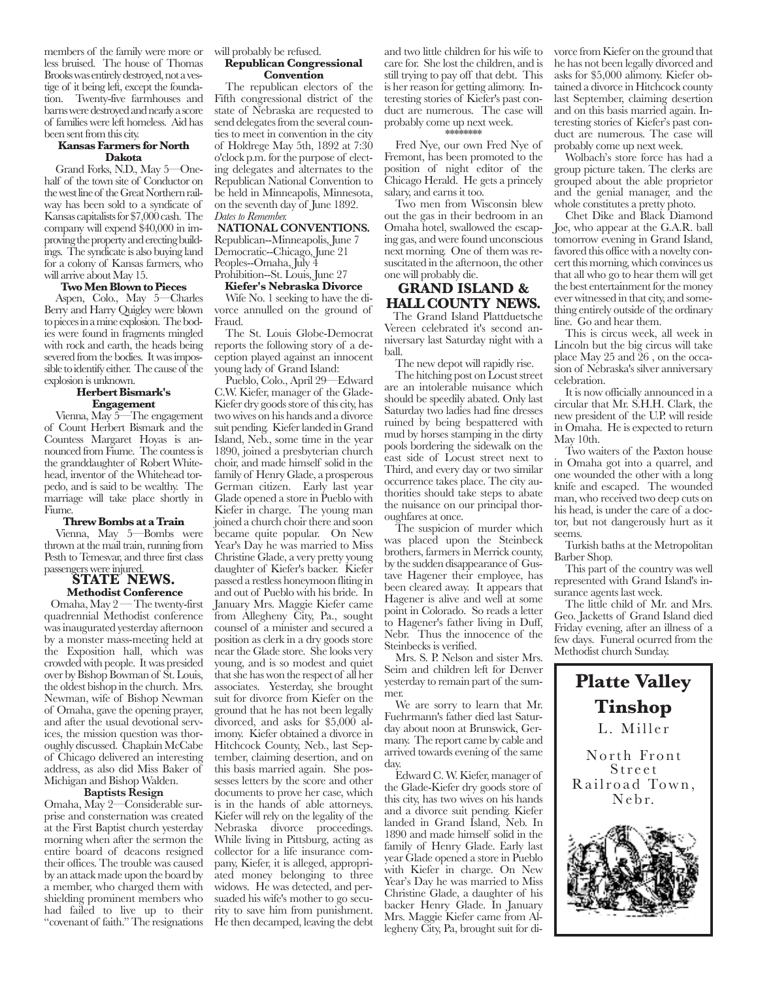members of the family were more or less bruised. The house of Thomas Brooks was entirely destroyed, not a vestige of it being left, except the foundation. Twenty-five farmhouses and barns were destroyed and nearly a score of families were left homeless. Aid has been sent from this city.

### **Kansas Farmers for North Dakota**

 Grand Forks, N.D., May 5—Onehalf of the town site of Conductor on the west line of the Great Northern railway has been sold to a syndicate of Kansas capitalists for \$7,000 cash. The company will expend \$40,000 in improving the property and erecting buildings. The syndicate is also buying land for a colony of Kansas farmers, who will arrive about May 15.

### **Two Men Blown to Pieces**

 Aspen, Colo., May 5—Charles Berry and Harry Quigley were blown to pieces in a mine explosion. The bodies were found in fragments mingled with rock and earth, the heads being severed from the bodies. It was impossible to identify either. The cause of the explosion is unknown.

### **Herbert Bismark's Engagement**

 Vienna, May 5—The engagement of Count Herbert Bismark and the Countess Margaret Hoyas is announced from Fiume. The countess is the granddaughter of Robert Whitehead, inventor of the Whitehead torpedo, and is said to be wealthy. The marriage will take place shortly in Fiume.

### **Threw Bombs at a Train**

 Vienna, May 5—Bombs were thrown at the mail train, running from Pesth to Temesvar, and three first class

# passengers were injured. **STATE NEWS. Methodist Conference**

 Omaha, May 2 — The twenty-first quadrennial Methodist conference was inaugurated yesterday afternoon by a monster mass-meeting held at the Exposition hall, which was crowded with people. It was presided over by Bishop Bowman of St. Louis, the oldest bishop in the church. Mrs. Newman, wife of Bishop Newman of Omaha, gave the opening prayer, and after the usual devotional services, the mission question was thoroughly discussed. Chaplain McCabe of Chicago delivered an interesting address, as also did Miss Baker of Michigan and Bishop Walden.

### **Baptists Resign**

Omaha, May 2—Considerable surprise and consternation was created at the First Baptist church yesterday morning when after the sermon the entire board of deacons resigned their offices. The trouble was caused by an attack made upon the board by a member, who charged them with shielding prominent members who had failed to live up to their "covenant of faith." The resignations will probably be refused. **Republican Congressional** 

# **Convention**

 The republican electors of the Fifth congressional district of the state of Nebraska are requested to send delegates from the several counties to meet in convention in the city of Holdrege May 5th, 1892 at 7:30 o'clock p.m. for the purpose of electing delegates and alternates to the Republican National Convention to be held in Minneapolis, Minnesota, on the seventh day of June 1892. *Dates to Remember.*

# **NATIONAL CONVENTIONS.**

Republican--Minneapolis, June 7 Democratic--Chicago, June 21 Peoples--Omaha, July 4 Prohibition--St. Louis, June 27

### **Kiefer's Nebraska Divorce**

 Wife No. 1 seeking to have the divorce annulled on the ground of Fraud.

 The St. Louis Globe-Democrat reports the following story of a deception played against an innocent young lady of Grand Island:

 Pueblo, Colo., April 29—Edward C.W. Kiefer, manager of the Glade-Kiefer dry goods store of this city, has two wives on his hands and a divorce suit pending. Kiefer landed in Grand Island, Neb., some time in the year 1890, joined a presbyterian church choir, and made himself solid in the family of Henry Glade, a prosperous German citizen. Early last year Glade opened a store in Pueblo with Kiefer in charge. The young man joined a church choir there and soon became quite popular. On New Year's Day he was married to Miss Christine Glade, a very pretty young daughter of Kiefer's backer. Kiefer passed a restless honeymoon fliting in and out of Pueblo with his bride. In January Mrs. Maggie Kiefer came from Allegheny City, Pa., sought counsel of a minister and secured a position as clerk in a dry goods store near the Glade store. She looks very young, and is so modest and quiet that she has won the respect of all her associates. Yesterday, she brought suit for divorce from Kiefer on the ground that he has not been legally divorced, and asks for \$5,000 alimony. Kiefer obtained a divorce in Hitchcock County, Neb., last September, claiming desertion, and on this basis married again. She possesses letters by the score and other documents to prove her case, which is in the hands of able attorneys. Kiefer will rely on the legality of the Nebraska divorce proceedings. While living in Pittsburg, acting as collector for a life insurance company, Kiefer, it is alleged, appropriated money belonging to three widows. He was detected, and persuaded his wife's mother to go security to save him from punishment. He then decamped, leaving the debt

and two little children for his wife to care for. She lost the children, and is still trying to pay off that debt. This is her reason for getting alimony. Interesting stories of Kiefer's past conduct are numerous. The case will probably come up next week.

#### \*\*\*\*\*\*\*\*

Fred Nye, our own Fred Nye of Fremont, has been promoted to the position of night editor of the Chicago Herald. He gets a princely salary, and earns it too.

 Two men from Wisconsin blew out the gas in their bedroom in an Omaha hotel, swallowed the escaping gas, and were found unconscious next morning. One of them was resuscitated in the afternoon, the other one will probably die.

# **GRAND ISLAND & HALL COUNTY NEWS.**

 The Grand Island Plattduetsche Vereen celebrated it's second anniversary last Saturday night with a ball.

The new depot will rapidly rise.

 The hitching post on Locust street are an intolerable nuisance which should be speedily abated. Only last Saturday two ladies had fine dresses ruined by being bespattered with mud by horses stamping in the dirty pools bordering the sidewalk on the east side of Locust street next to Third, and every day or two similar occurrence takes place. The city authorities should take steps to abate the nuisance on our principal thoroughfares at once.

 The suspicion of murder which was placed upon the Steinbeck brothers, farmers in Merrick county, by the sudden disappearance of Gustave Hagener their employee, has been cleared away. It appears that Hagener is alive and well at some point in Colorado. So reads a letter to Hagener's father living in Duff, Nebr. Thus the innocence of the Steinbecks is verified.

 Mrs. S. P. Nelson and sister Mrs. Seim and children left for Denver yesterday to remain part of the summer.

 We are sorry to learn that Mr. Fuehrmann's father died last Saturday about noon at Brunswick, Germany. The report came by cable and arrived towards evening of the same day.

 Edward C. W. Kiefer, manager of the Glade-Kiefer dry goods store of this city, has two wives on his hands and a divorce suit pending. Kiefer landed in Grand Island, Neb. In 1890 and made himself solid in the family of Henry Glade. Early last year Glade opened a store in Pueblo with Kiefer in charge. On New Year's Day he was married to Miss Christine Glade, a daughter of his backer Henry Glade. In January Mrs. Maggie Kiefer came from Allegheny City, Pa, brought suit for divorce from Kiefer on the ground that he has not been legally divorced and asks for \$5,000 alimony. Kiefer obtained a divorce in Hitchcock county last September, claiming desertion and on this basis married again. Interesting stories of Kiefer's past conduct are numerous. The case will probably come up next week.

 Wolbach's store force has had a group picture taken. The clerks are grouped about the able proprietor and the genial manager, and the whole constitutes a pretty photo.

 Chet Dike and Black Diamond Joe, who appear at the G.A.R. ball tomorrow evening in Grand Island, favored this office with a novelty concert this morning, which convinces us that all who go to hear them will get the best entertainment for the money ever witnessed in that city, and something entirely outside of the ordinary line. Go and hear them.

 This is circus week, all week in Lincoln but the big circus will take place May 25 and 26 , on the occasion of Nebraska's silver anniversary celebration.

 It is now officially announced in a circular that Mr. S.H.H. Clark, the new president of the U.P. will reside in Omaha. He is expected to return May 10th.

 Two waiters of the Paxton house in Omaha got into a quarrel, and one wounded the other with a long knife and escaped. The wounded man, who received two deep cuts on his head, is under the care of a doctor, but not dangerously hurt as it seems.

 Turkish baths at the Metropolitan Barber Shop.

 This part of the country was well represented with Grand Island's insurance agents last week.

 The little child of Mr. and Mrs. Geo. Jacketts of Grand Island died Friday evening, after an illness of a few days. Funeral ocurred from the Methodist church Sunday.

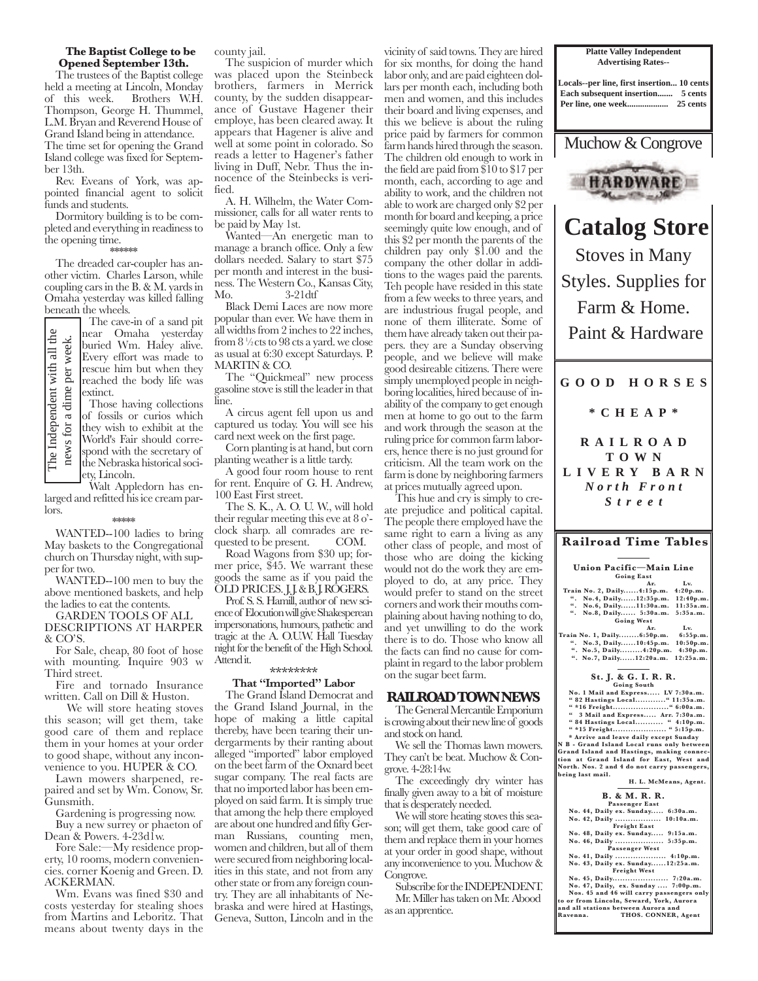### **The Baptist College to be Opened September 13th.**

 The trustees of the Baptist college held a meeting at Lincoln, Monday of this week. Brothers W.H. Thompson, George H. Thummel, L.M. Bryan and Reverend House of Grand Island being in attendance. The time set for opening the Grand Island college was fixed for September 13th.

 Rev. Eveans of York, was appointed financial agent to solicit funds and students.

 Dormitory building is to be completed and everything in readiness to the opening time.

### \*\*\*\*\*\*

 The dreaded car-coupler has another victim. Charles Larson, while coupling cars in the B. & M. yards in Omaha yesterday was killed falling beneath the wheels.

The Independent with all the The Independent with all the per week. news for a dime per week.for a dime news f

The cave-in of a sand pit near Omaha yesterday buried Wm. Haley alive. Every effort was made to rescue him but when they reached the body life was extinct. Those having collections

of fossils or curios which they wish to exhibit at the World's Fair should correspond with the secretary of the Nebraska historical society, Lincoln.

Walt Appledorn has enlarged and refitted his ice cream parlors.

#### \*\*\*\*\*

 WANTED--100 ladies to bring May baskets to the Congregational church on Thursday night, with supper for two.

 WANTED--100 men to buy the above mentioned baskets, and help the ladies to eat the contents.

 GARDEN TOOLS OF ALL DESCRIPTIONS AT HARPER & CO'S.

 For Sale, cheap, 80 foot of hose with mounting. Inquire 903 w Third street.

 Fire and tornado Insurance written. Call on Dill & Huston.

 We will store heating stoves this season; will get them, take good care of them and replace them in your homes at your order to good shape, without any inconvenience to you. HUPER & CO.

 Lawn mowers sharpened, repaired and set by Wm. Conow, Sr. Gunsmith.

 Gardening is progressing now. Buy a new surrey or phaeton of Dean & Powers. 4-23d1w.

 Fore Sale:—My residence property, 10 rooms, modern conveniencies. corner Koenig and Green. D. ACKERMAN.

 Wm. Evans was fined \$30 and costs yesterday for stealing shoes from Martins and Leboritz. That means about twenty days in the

county jail.

 The suspicion of murder which was placed upon the Steinbeck brothers, farmers in Merrick county, by the sudden disappearance of Gustave Hagener their employe, has been cleared away. It appears that Hagener is alive and well at some point in colorado. So reads a letter to Hagener's father living in Duff, Nebr. Thus the innocence of the Steinbecks is verified.

 A. H. Wilhelm, the Water Commissioner, calls for all water rents to be paid by May 1st.

 Wanted—An energetic man to manage a branch office. Only a few dollars needed. Salary to start \$75 per month and interest in the business. The Western Co., Kansas City, Mo. 3-21dtf

 Black Demi Laces are now more popular than ever. We have them in all widths from 2 inches to 22 inches, from  $8\frac{1}{2}$ cts to  $98$  cts a yard. we close as usual at 6:30 except Saturdays. P. MARTIN & CO.

 The "Quickmeal" new process gasoline stove is still the leader in that line.

 A circus agent fell upon us and captured us today. You will see his card next week on the first page.

 Corn planting is at hand, but corn planting weather is a little tardy.

 A good four room house to rent for rent. Enquire of G. H. Andrew, 100 East First street.

 The S. K., A. O. U. W., will hold their regular meeting this eve at 8 o' clock sharp. all comrades are requested to be present. COM.

 Road Wagons from \$30 up; former price, \$45. We warrant these goods the same as if you paid the OLD PRICES. J. J. & B. J. ROGERS.

 Prof. S. S. Hamill, author of new science of Elocution will give Shakesperean impersonations, humours, pathetic and tragic at the A. O.U.W. Hall Tuesday night for the benefit of the High School. Attend it.

### **\*\*\*\*\*\*\*\***

# **That "Imported" Labor**

 The Grand Island Democrat and the Grand Island Journal, in the hope of making a little capital thereby, have been tearing their undergarments by their ranting about alleged "imported" labor employed on the beet farm of the Oxnard beet sugar company. The real facts are that no imported labor has been employed on said farm. It is simply true that among the help there employed are about one hundred and fifty German Russians, counting men, women and children, but all of them were secured from neighboring localities in this state, and not from any other state or from any foreign country. They are all inhabitants of Nebraska and were hired at Hastings, Geneva, Sutton, Lincoln and in the

vicinity of said towns. They are hired for six months, for doing the hand labor only, and are paid eighteen dollars per month each, including both men and women, and this includes their board and living expenses, and this we believe is about the ruling price paid by farmers for common farm hands hired through the season. The children old enough to work in the field are paid from \$10 to \$17 per month, each, according to age and ability to work, and the children not able to work are charged only \$2 per month for board and keeping, a price seemingly quite low enough, and of this \$2 per month the parents of the children pay only \$1.00 and the company the other dollar in additions to the wages paid the parents. Teh people have resided in this state from a few weeks to three years, and are industrious frugal people, and none of them illiterate. Some of them have already taken out their papers. they are a Sunday observing people, and we believe will make good desireable citizens. There were simply unemployed people in neighboring localities, hired because of inability of the company to get enough men at home to go out to the farm and work through the season at the ruling price for common farm laborers, hence there is no just ground for criticism. All the team work on the farm is done by neighboring farmers at prices mutually agreed upon.

 This hue and cry is simply to create prejudice and political capital. The people there employed have the same right to earn a living as any other class of people, and most of those who are doing the kicking would not do the work they are employed to do, at any price. They would prefer to stand on the street corners and work their mouths complaining about having nothing to do, and yet unwilling to do the work there is to do. Those who know all the facts can find no cause for complaint in regard to the labor problem on the sugar beet farm.

### **RAILROAD TOWN NEWS**

 The General Mercantile Emporium is crowing about their new line of goods and stock on hand.

 We sell the Thomas lawn mowers. They can't be beat. Muchow & Congrove. 4-28:14w.

 The exceedingly dry winter has finally given away to a bit of moisture that is desperately needed.

 We will store heating stoves this season; will get them, take good care of them and replace them in your homes at your order in good shape, without any inconvenience to you. Muchow & Congrove.

 Subscribe for the INDEPENDENT. Mr. Miller has taken on Mr. Abood as an apprentice.

| <b>Platte Valley Independent</b><br><b>Advertising Rates--</b>                                                                                                                                                                                                                                                                                                                                                                                                                                                                                   |
|--------------------------------------------------------------------------------------------------------------------------------------------------------------------------------------------------------------------------------------------------------------------------------------------------------------------------------------------------------------------------------------------------------------------------------------------------------------------------------------------------------------------------------------------------|
| Locals--per line, first insertion 10 cents<br>Each subsequent insertion<br>5 cents<br>Per line, one week<br>25 cents                                                                                                                                                                                                                                                                                                                                                                                                                             |
| Muchow & Congrove                                                                                                                                                                                                                                                                                                                                                                                                                                                                                                                                |
| HARDWA<br>ЭŁ.                                                                                                                                                                                                                                                                                                                                                                                                                                                                                                                                    |
| <b>Catalog Store</b>                                                                                                                                                                                                                                                                                                                                                                                                                                                                                                                             |
| <b>Stoves in Many</b>                                                                                                                                                                                                                                                                                                                                                                                                                                                                                                                            |
| Styles. Supplies for                                                                                                                                                                                                                                                                                                                                                                                                                                                                                                                             |
| Farm & Home.                                                                                                                                                                                                                                                                                                                                                                                                                                                                                                                                     |
| Paint & Hardware                                                                                                                                                                                                                                                                                                                                                                                                                                                                                                                                 |
| GOOD HORSES                                                                                                                                                                                                                                                                                                                                                                                                                                                                                                                                      |
| $*$ CHEAP $*$                                                                                                                                                                                                                                                                                                                                                                                                                                                                                                                                    |
| <b>RAILROAD</b><br><b>TOWN</b><br>LIVERY BARN<br>$\sqrt{N}$ orth $\sqrt{F}$ ront<br>Street                                                                                                                                                                                                                                                                                                                                                                                                                                                       |
| <b>Railroad Time Tables</b>                                                                                                                                                                                                                                                                                                                                                                                                                                                                                                                      |
| Union Pacific-Main Line<br><b>Going East</b><br>Lv.                                                                                                                                                                                                                                                                                                                                                                                                                                                                                              |
| Train No. 2, Daily 4:15p.m.<br>4:20p.m.<br>No.4, Daily12:35p.m.<br>12:40p.m.<br>No.b, Daily11:30a.m.<br>11:35a.m.<br>". No.8, Daily 5:30a.m. 5:35a.m.<br><b>Going West</b><br>Lv.<br>Ar.                                                                                                                                                                                                                                                                                                                                                         |
| Train No. 1, Daily6:50p.m.<br>6:55p.m.<br>10:50p.m.<br>ч.<br>No.3, Daily 10:45p.m.<br>". No.5, Daily4:20p.m.<br>". No.7, Daily12:20a.m.<br>4:30p.m.<br>12:25a.m.                                                                                                                                                                                                                                                                                                                                                                                 |
| St. J. & G. I. R. R.<br>Going South<br>No. 1 Mail and Express LV 7:30a.m.<br>" 82 Hastings Local " 11:35a.m.<br>" *16 Freight " 6:00a.m.<br>$\mathfrak{c}\mathfrak{c}$<br>3 Mail and Express Arr. 7:30a.m.<br>" 84 Hastings Local " 4:10p.m.<br>" *15 Freight " 5:15p.m.<br>* Arrive and leave daily except Sunday<br>N B - Grand Island Local runs only between<br>Grand Island and Hastings, making connection at Grand Island for East, West and<br>North. Nos. 2 and 4 do not carry passengers,<br>being last mail.<br>H. L. McMeans, Agent. |
| B. & M. R. R.<br><b>Passenger East</b><br>No. 44, Daily ex. Sunday 6:30a.m.<br>No. 42, Daily  10:10a.m.<br>Freight East                                                                                                                                                                                                                                                                                                                                                                                                                          |
| No. 48, Daily ex. Sunday 9:15a.m.<br>No. 46, Daily  5:35p.m.<br>Passenger West<br>No. 41, Daily  4:10p.m.<br>No. 43, Daily ex. Sunday 12:25a.m.<br><b>Freight West</b><br>No. 45, Daily 7:20a.m.                                                                                                                                                                                                                                                                                                                                                 |